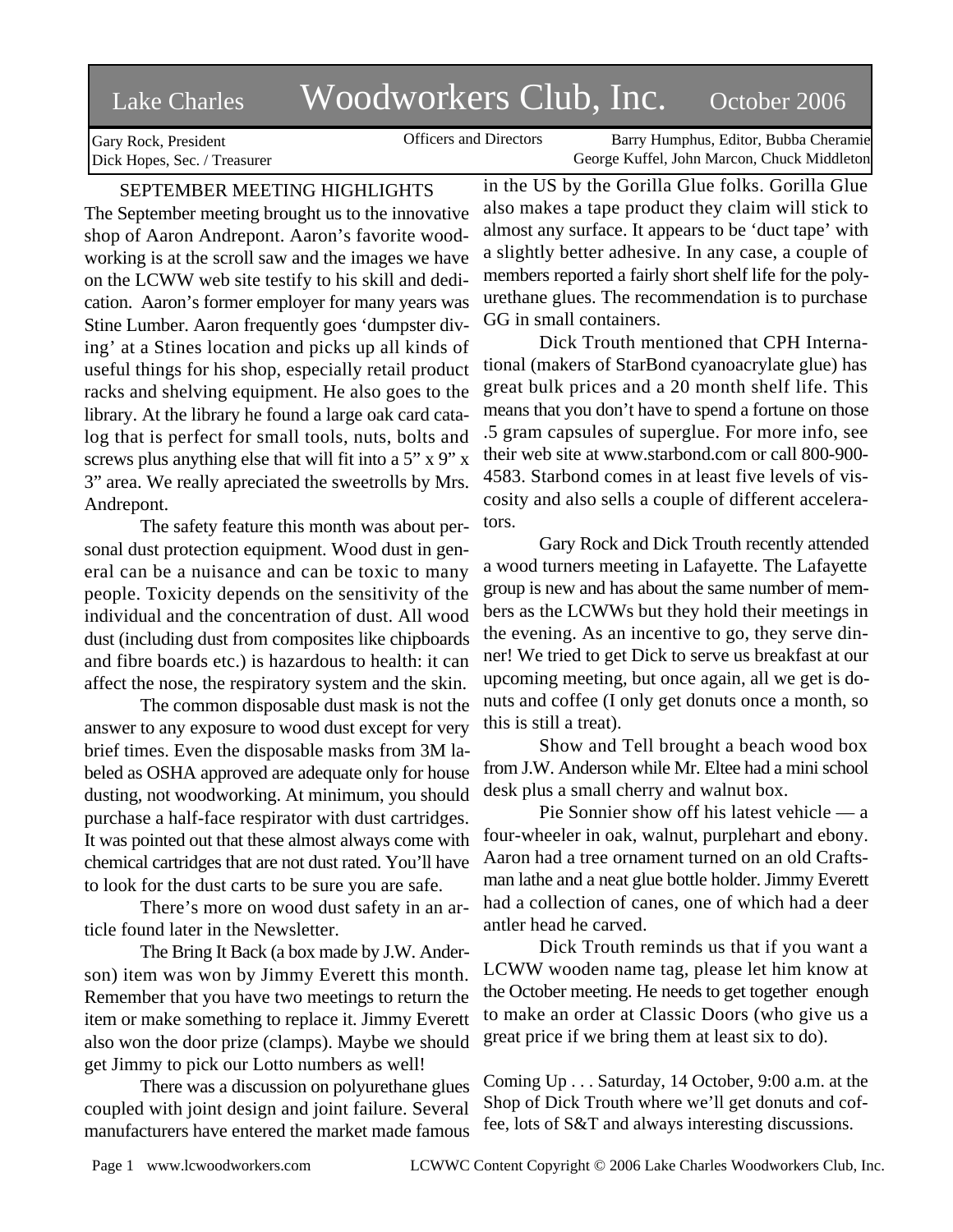# Lake Charles Woodworkers Club, Inc. October 2006

Officers and Directors Barry Humphus, Editor, Bubba Cheramie George Kuffel, John Marcon, Chuck Middleton

Gary Rock, President Dick Hopes, Sec. / Treasurer

# SEPTEMBER MEETING HIGHLIGHTS

The September meeting brought us to the innovative shop of Aaron Andrepont. Aaron's favorite woodworking is at the scroll saw and the images we have on the LCWW web site testify to his skill and dedication. Aaron's former employer for many years was Stine Lumber. Aaron frequently goes 'dumpster diving' at a Stines location and picks up all kinds of useful things for his shop, especially retail product racks and shelving equipment. He also goes to the library. At the library he found a large oak card catalog that is perfect for small tools, nuts, bolts and screws plus anything else that will fit into a 5" x 9" x 3" area. We really apreciated the sweetrolls by Mrs. Andrepont.

The safety feature this month was about personal dust protection equipment. Wood dust in general can be a nuisance and can be toxic to many people. Toxicity depends on the sensitivity of the individual and the concentration of dust. All wood dust (including dust from composites like chipboards and fibre boards etc.) is hazardous to health: it can affect the nose, the respiratory system and the skin.

The common disposable dust mask is not the answer to any exposure to wood dust except for very brief times. Even the disposable masks from 3M labeled as OSHA approved are adequate only for house dusting, not woodworking. At minimum, you should purchase a half-face respirator with dust cartridges. It was pointed out that these almost always come with chemical cartridges that are not dust rated. You'll have to look for the dust carts to be sure you are safe.

There's more on wood dust safety in an article found later in the Newsletter.

The Bring It Back (a box made by J.W. Anderson) item was won by Jimmy Everett this month. Remember that you have two meetings to return the item or make something to replace it. Jimmy Everett also won the door prize (clamps). Maybe we should get Jimmy to pick our Lotto numbers as well!

There was a discussion on polyurethane glues coupled with joint design and joint failure. Several manufacturers have entered the market made famous in the US by the Gorilla Glue folks. Gorilla Glue also makes a tape product they claim will stick to almost any surface. It appears to be 'duct tape' with a slightly better adhesive. In any case, a couple of members reported a fairly short shelf life for the polyurethane glues. The recommendation is to purchase GG in small containers.

Dick Trouth mentioned that CPH International (makers of StarBond cyanoacrylate glue) has great bulk prices and a 20 month shelf life. This means that you don't have to spend a fortune on those .5 gram capsules of superglue. For more info, see their web site at www.starbond.com or call 800-900- 4583. Starbond comes in at least five levels of viscosity and also sells a couple of different accelerators.

Gary Rock and Dick Trouth recently attended a wood turners meeting in Lafayette. The Lafayette group is new and has about the same number of members as the LCWWs but they hold their meetings in the evening. As an incentive to go, they serve dinner! We tried to get Dick to serve us breakfast at our upcoming meeting, but once again, all we get is donuts and coffee (I only get donuts once a month, so this is still a treat).

Show and Tell brought a beach wood box from J.W. Anderson while Mr. Eltee had a mini school desk plus a small cherry and walnut box.

Pie Sonnier show off his latest vehicle — a four-wheeler in oak, walnut, purplehart and ebony. Aaron had a tree ornament turned on an old Craftsman lathe and a neat glue bottle holder. Jimmy Everett had a collection of canes, one of which had a deer antler head he carved.

Dick Trouth reminds us that if you want a LCWW wooden name tag, please let him know at the October meeting. He needs to get together enough to make an order at Classic Doors (who give us a great price if we bring them at least six to do).

Coming Up . . . Saturday, 14 October, 9:00 a.m. at the Shop of Dick Trouth where we'll get donuts and coffee, lots of S&T and always interesting discussions.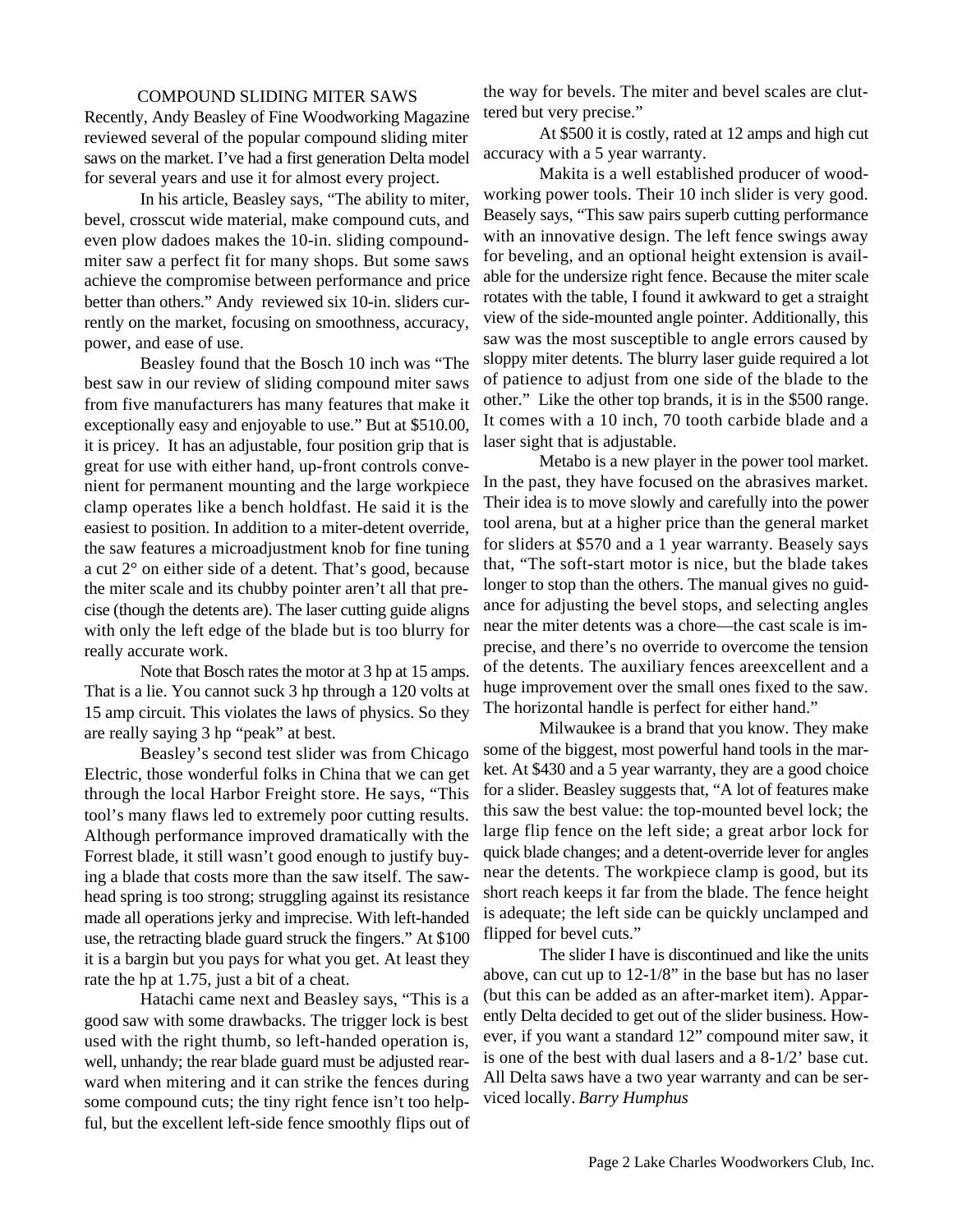#### COMPOUND SLIDING MITER SAWS

Recently, Andy Beasley of Fine Woodworking Magazine reviewed several of the popular compound sliding miter saws on the market. I've had a first generation Delta model for several years and use it for almost every project.

In his article, Beasley says, "The ability to miter, bevel, crosscut wide material, make compound cuts, and even plow dadoes makes the 10-in. sliding compoundmiter saw a perfect fit for many shops. But some saws achieve the compromise between performance and price better than others." Andy reviewed six 10-in. sliders currently on the market, focusing on smoothness, accuracy, power, and ease of use.

Beasley found that the Bosch 10 inch was "The best saw in our review of sliding compound miter saws from five manufacturers has many features that make it exceptionally easy and enjoyable to use." But at \$510.00, it is pricey. It has an adjustable, four position grip that is great for use with either hand, up-front controls convenient for permanent mounting and the large workpiece clamp operates like a bench holdfast. He said it is the easiest to position. In addition to a miter-detent override, the saw features a microadjustment knob for fine tuning a cut 2° on either side of a detent. That's good, because the miter scale and its chubby pointer aren't all that precise (though the detents are). The laser cutting guide aligns with only the left edge of the blade but is too blurry for really accurate work.

Note that Bosch rates the motor at 3 hp at 15 amps. That is a lie. You cannot suck 3 hp through a 120 volts at 15 amp circuit. This violates the laws of physics. So they are really saying 3 hp "peak" at best.

Beasley's second test slider was from Chicago Electric, those wonderful folks in China that we can get through the local Harbor Freight store. He says, "This tool's many flaws led to extremely poor cutting results. Although performance improved dramatically with the Forrest blade, it still wasn't good enough to justify buying a blade that costs more than the saw itself. The sawhead spring is too strong; struggling against its resistance made all operations jerky and imprecise. With left-handed use, the retracting blade guard struck the fingers." At \$100 it is a bargin but you pays for what you get. At least they rate the hp at 1.75, just a bit of a cheat.

Hatachi came next and Beasley says, "This is a good saw with some drawbacks. The trigger lock is best used with the right thumb, so left-handed operation is, well, unhandy; the rear blade guard must be adjusted rearward when mitering and it can strike the fences during some compound cuts; the tiny right fence isn't too helpful, but the excellent left-side fence smoothly flips out of the way for bevels. The miter and bevel scales are cluttered but very precise."

At \$500 it is costly, rated at 12 amps and high cut accuracy with a 5 year warranty.

Makita is a well established producer of woodworking power tools. Their 10 inch slider is very good. Beasely says, "This saw pairs superb cutting performance with an innovative design. The left fence swings away for beveling, and an optional height extension is available for the undersize right fence. Because the miter scale rotates with the table, I found it awkward to get a straight view of the side-mounted angle pointer. Additionally, this saw was the most susceptible to angle errors caused by sloppy miter detents. The blurry laser guide required a lot of patience to adjust from one side of the blade to the other." Like the other top brands, it is in the \$500 range. It comes with a 10 inch, 70 tooth carbide blade and a laser sight that is adjustable.

Metabo is a new player in the power tool market. In the past, they have focused on the abrasives market. Their idea is to move slowly and carefully into the power tool arena, but at a higher price than the general market for sliders at \$570 and a 1 year warranty. Beasely says that, "The soft-start motor is nice, but the blade takes longer to stop than the others. The manual gives no guidance for adjusting the bevel stops, and selecting angles near the miter detents was a chore—the cast scale is imprecise, and there's no override to overcome the tension of the detents. The auxiliary fences areexcellent and a huge improvement over the small ones fixed to the saw. The horizontal handle is perfect for either hand."

Milwaukee is a brand that you know. They make some of the biggest, most powerful hand tools in the market. At \$430 and a 5 year warranty, they are a good choice for a slider. Beasley suggests that, "A lot of features make this saw the best value: the top-mounted bevel lock; the large flip fence on the left side; a great arbor lock for quick blade changes; and a detent-override lever for angles near the detents. The workpiece clamp is good, but its short reach keeps it far from the blade. The fence height is adequate; the left side can be quickly unclamped and flipped for bevel cuts."

The slider I have is discontinued and like the units above, can cut up to 12-1/8" in the base but has no laser (but this can be added as an after-market item). Apparently Delta decided to get out of the slider business. However, if you want a standard 12" compound miter saw, it is one of the best with dual lasers and a 8-1/2' base cut. All Delta saws have a two year warranty and can be serviced locally. *Barry Humphus*